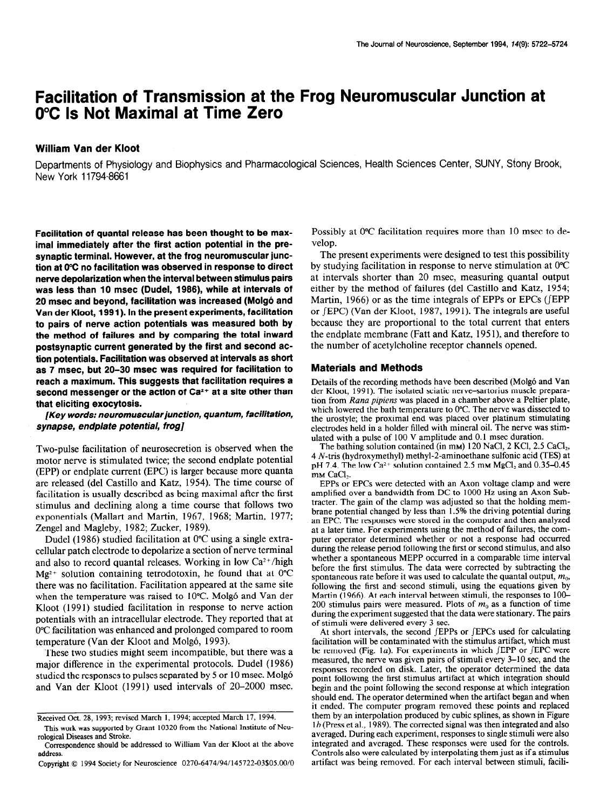# Facilitation of Transmission at the Frog Neuromuscular Junction at O°C Is Not Maximal at Time Zero

### William Van der Kloot

Departments of Physiology and Biophysics and Pharmacological Sciences, Health Sciences Center, SUNY, Sfony Brook, New York 11794-8661

Facilitation of quantal release has been thought to be maximal immediately after the first action potential in the presynaptic terminal. However, at the frog neuromuscular junction at 0°C no facilitation was observed in response to direct nerve depolarization when the interval between stimulus pairs was less than 10 msec (Dudel, 1988), while at intervals of 20 msec and beyond, facilitation was increased (Molg6 and Van der Kloot, 199 1). In the present experiments, facilitation to pairs of nerve action potentials was measured both by the method of failures and by comparing the total inward postsynaptic current generated by the first and second action potentials. Facilitation was observed at intervals as short as 7 msec, but 20-30 msec was required for facilitation to reach a maximum. This suggests that facilitation requires a second messenger or the action of  $Ca<sup>2+</sup>$  at a site other than that eliciting exocytosis.

[Key words: neuromuscularjunction, quantum, facilitation, synapse, endplate potential, frog]

Two-pulse facilitation of neurosecretion is observed when the motor nerve is stimulated twice; the second endplate potential (EPP) or endplate current (EPC) is larger because more quanta are released (de1 Castillo and Katz, 1954). The time course of facilitation is usually described as being maximal after the first stimulus and declining along a time course that follows two exponentials (Mallart and Martin, 1967, 1968; Martin, 1977; Zengel and Magleby, 1982; Zucker, 1989).

Dudel (1986) studied facilitation at 0°C using a single extracellular patch electrode to depolarize a section of nerve terminal and also to record quantal releases. Working in low  $Ca^{2+}/high$  $Mg^{2+}$  solution containing tetrodotoxin, he found that at 0°C there was no facilitation. Facilitation appeared at the same site when the temperature was raised to 10°C. Molg6 and Van der Kloot (1991) studied facilitation in response to nerve action potentials with a international exponse to her ve action potentials with an intracellular electrode. They reported that at 0°C facilitation was enhanced and prolonged compared to room temperature (Van der Kloot and Molgó, 1993). mperature (van der Kloot and Molgo, 1999).

 $\frac{1}{2}$  mese two studies inight seem incompatible, but there was a major difference in the experimental protocols. Dudel (1986) studied the responses to pulses separated by 5 or 10 msec. Molgó and Van der Kloot (1991) used intervals of 20-2000 msec.

Possibly at 0°C facilitation requires more than 10 msec to develop.

The present experiments were designed to test this possibility by studying facilitation in response to nerve stimulation at 0°C at intervals shorter than 20 msec, measuring quanta1 output either by the method of failures (de1 Castillo and Katz, 1954; Martin, 1966) or as the time integrals of EPPs or EPCs (JEPP or (EPC) (Van der Kloot, 1987, 1991). The integrals are useful because they are proportional to the total current that enters the endplate membrane (Fatt and Katz, 195 l), and therefore to the number of acetylcholine receptor channels opened.

#### Materials and Methods

Details of the recording methods have been described (Molg6 and Van der Kloot, 1991). The isolated sciatic nerve-sartorius muscle preparation from Rana pipiens was placed in a chamber above a Peltier plate, which lowered the bath temperature to 0°C. The nerve was dissected to the urostyle; the proximal end was placed over platinum stimulating electrodes held in a holder filled with mineral oil. The nerve was stimulated with a pulse of 100 V amplitude and 0.1 msec duration.

The bathing solution contained (in mm) 120 NaCl, 2 KCl, 2.5 CaCl<sub>2</sub>, 4 N-tris (hydroxymethyl) methyl-2-aminoethane sulfonic acid (TES) at pH 7.4. The low Ca<sup>2+</sup> solution contained 2.5 mm MgCl<sub>2</sub> and 0.35-0.45 m<sub>M</sub> CaCl<sub>1</sub>.

EPPs or EPCs were detected with an Axon voltage clamp and were amplified over a bandwidth from DC to 1000 Hz using an Axon Subtracter. The gain of the clamp was adjusted so that the holding membrane potential changed by less than 1.5% the driving potential during an EPC. The responses were stored in the computer and then analyzed at a later time. For experiments using the method of failures, the computer operator determined whether or not a response had occurred during the release period following the first or second stimulus, and also whether a spontaneous MEPP occurred in a comparable time interval before the first stimulus. The data were corrected by subtracting the spontaneous rate before it was used to calculate the quantal output,  $m_0$ , following the first and, second stimuli, using the equations given by  $M_{\odot}$  (1966). At each interval between stimuli, the responses to 100- $\frac{1}{200}$  stimulus pairs were measured. Plots of m, and the second of time  $200$  summus pans were measured. Those of  $m_0$  as a famouoir of three  $1$ during the experiment suggested that the of stimuli were delivered every 3 sec.<br>At short intervals, the second *JEPPs* or *JEPCs* used for calculating

facilitation will be contaminated with the stimulus artifacture with must are stimulus artifact, which must are stimulus artifactured with must are stimulus and the stimulus artifacture of the stimulus artifacture of the s  $\frac{1}{2}$  activities with the summatric with the summatrice with  $\frac{1}{2}$  or  $\frac{1}{2}$  or  $\frac{1}{2}$  or  $\frac{1}{2}$  or  $\frac{1}{2}$  or  $\frac{1}{2}$  or  $\frac{1}{2}$  or  $\frac{1}{2}$  or  $\frac{1}{2}$  or  $\frac{1}{2}$  or  $\frac{1}{2}$  or  $\frac{1}{2}$  or be removed (Fig. 1a). For experiments in which  $JEPP$  or  $JEPC$  were reasured, the nerve was given pairs of stimuli every 3-10 sec, and the responses recorded on disk. Later, the operator determined the data point following the first stimulus artifact at which integration should begin and the point following the second response at which integration should end. The operator determined when the artifact began and when it ended. The computer program removed these points and replaced them by an interpolation produced by cubic splines, as shown in Figure  $1b$  (Press et al., 1989). The corrected signal was then integrated and also averaged. During each experiment, responses to single stimuli were also integrated and averaged. These responses were used for the controls. Controls also were calculated by interpolating them just as if a stimulus artifact was being removed. For each interval between stimuli, facili-

Received Oct. 28, 1993; revised March 1, 1994; accepted March 17, 1994. eceived Oct. 28, 1993; revised March 1, 1994; accepted march 17, 1994.

This work was supported by Grant 10320 from the National Institute of Neurological Diseases and Stroke.

Correspondence should be addressed to William Van der Kloot at the above address.

Copyright 0 1994 Society for Neuroscience 0270-6474/94/145722-03.\$05.00/O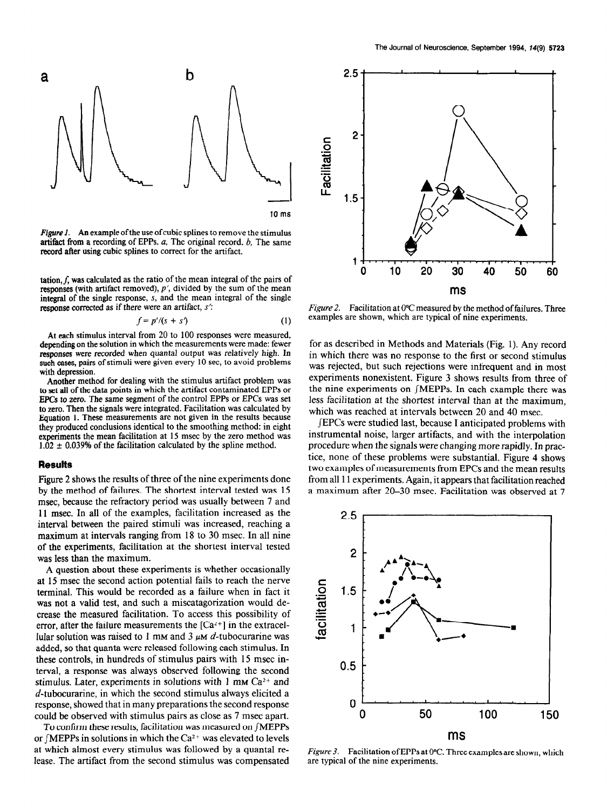

Figure 1. An example of the use of cubic splines to remove the stimulus artifact from a recording of EPPs. a, The original record. b, The same record after using cubic splines to correct for the artifact.

tation,  $f$ , was calculated as the ratio of the mean integral of the pairs of responses (with artifact removed),  $p'$ , divided by the sum of the mean integral of the single response, S, and the mean integral of the single response corrected as if there were an artifact, s':

$$
f = p'/(s + s')
$$
 (1)

At each stimulus interval from 20 to 100 responses were measured, depending on the solution in which the measurements were made: fewer responses were recorded when quanta1 output was relatively high. In such cases, pairs of stimuli were given every 10 sec, to avoid problems with depression.

Another method for dealing with the stimulus artifact problem was to set all of the data points in which the artifact contaminated EPPs or EPCs to zero. The same segment of the control EPPs or EPCs was set to zero. Then the signals were integrated. Facilitation was calculated by Equation 1. These measurements are not given in the results because they produced conclusions identical to the smoothing method: in eight experiments the mean facilitation at 15 msec by the zero method was  $1.\overline{0}2 \pm 0.039\%$  of the facilitation calculated by the spline method.

#### Results

Figure 2 shows the results of three of the nine experiments done by the method of failures. The shortest interval tested was 15 msec, because the refractory period was usually between 7 and 11 msec. In all of the examples, facilitation increased as the interval between the paired stimuli was increased, reaching a maximum at intervals ranging from 18 to 30 msec. In all nine  $\frac{1}{2}$  the experiments, facilitation at the shortest interval tested we the experiments, racintative  $\Lambda$  and  $\Lambda$  about the experiments is whether occasionally

A question about these experiments is whether occasionally  $t_{\text{t}}$  this would be recorded as a failure when in fact it terminal. This would be recorded as a failure when in fact it was not a valid test, and such a miscatagorization would decrease the measured facilitation. To access this possibility of error, after the failure measurements the  $[Ca^{2+}]$  in the extracellular solution was raised to 1 mm and 3  $\mu$ m d-tubocurarine was added, so that quanta were released following each stimulus. In these controls, in hundreds of stimulus pairs with 15 msec interval, a response was always observed following the second stimulus. Later, experiments in solutions with 1 mm  $Ca^{2+}$  and  $d$ -tubocurarine, in which the second stimulus always elicited a response, showed that in many preparations the second response could be observed with stimulus pairs as close as 7 msec apart.

To confirm these results, facilitation was measured on  $\int$ MEPPs or  $\int$ MEPPs in solutions in which the Ca<sup>2+</sup> was elevated to levels at which almost every stimulus was followed by a quantal release. The artifact from the second stimulus was compensated



Figure 2. Facilitation at 0°C measured by the method of failures. Three examples are shown, which are typical of nine experiments.

for as described in Methods and Materials (Fig. 1). Any record in which there was no response to the first or second stimulus was rejected, but such rejections were infrequent and in most experiments nonexistent. Figure 3 shows results from three of the nine experiments on JMEPPs. In each example there was less facilitation at the shortest interval than at the maximum, which was reached at intervals between 20 and 40 msec.

JEPCs were studied last, because I anticipated problems with instrumental noise, larger artifacts, and with the interpolation procedure when the signals were changing more rapidly. In pracprocedure when the signals were changing more rapidly, in prac-<br>tice, none of these mechanic were substantial. Figure 4 shows the examples of measurements were substantial. Figure 4 shows two examples of measurements from EPCs and the mean results from all 11 experiments. Again, it appears that facilitation reached<br>a maximum after 20–30 msec. Facilitation was observed at 7



*Figure 3.* Facilitation of EPPs at 0 are typical of the nine experiments.